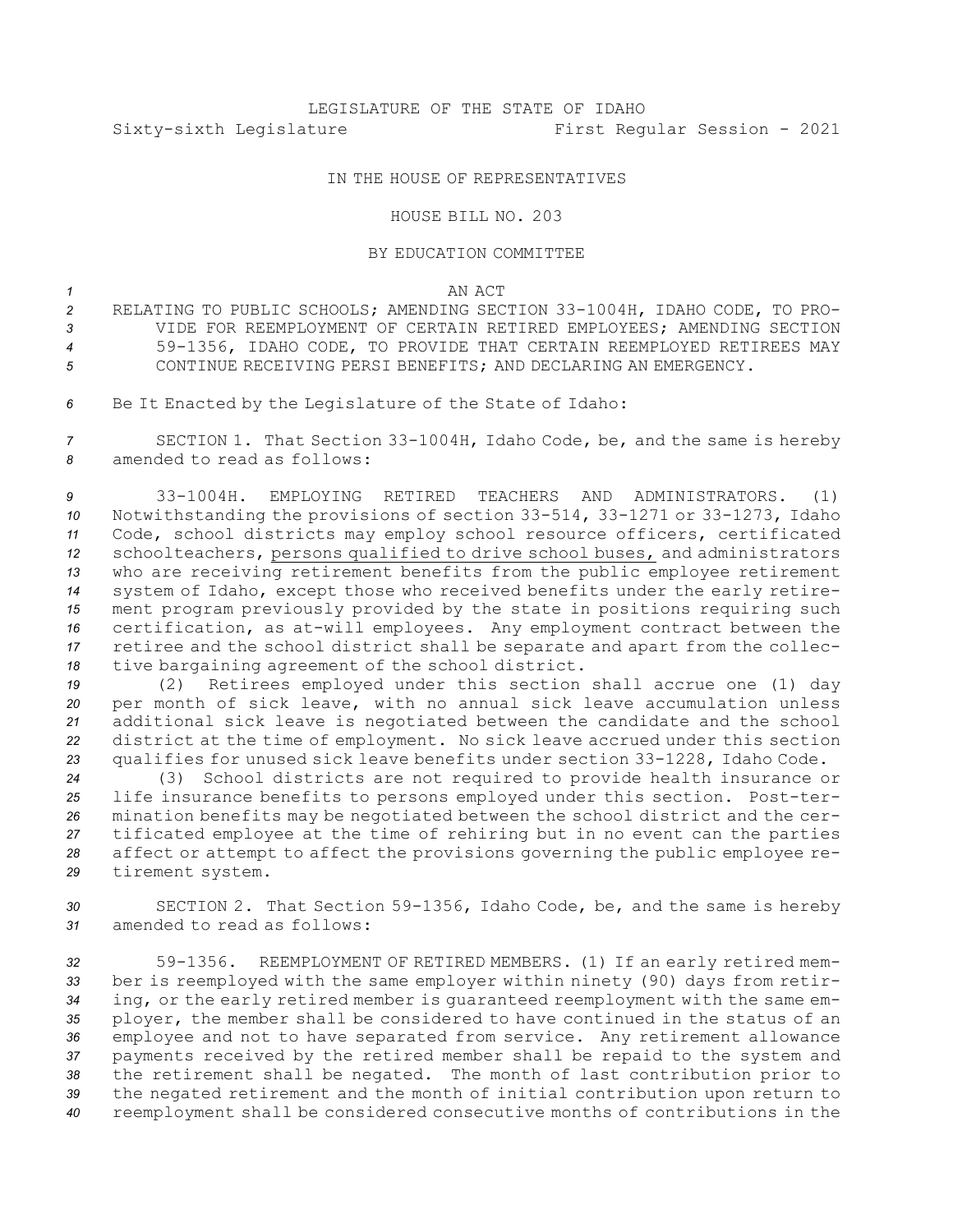## IN THE HOUSE OF REPRESENTATIVES

## HOUSE BILL NO. 203

## BY EDUCATION COMMITTEE

*1* AN ACT

- *<sup>2</sup>* RELATING TO PUBLIC SCHOOLS; AMENDING SECTION 33-1004H, IDAHO CODE, TO PRO-*3* VIDE FOR REEMPLOYMENT OF CERTAIN RETIRED EMPLOYEES; AMENDING SECTION *<sup>4</sup>* 59-1356, IDAHO CODE, TO PROVIDE THAT CERTAIN REEMPLOYED RETIREES MAY *5* CONTINUE RECEIVING PERSI BENEFITS; AND DECLARING AN EMERGENCY.
- *<sup>6</sup>* Be It Enacted by the Legislature of the State of Idaho:

*<sup>7</sup>* SECTION 1. That Section 33-1004H, Idaho Code, be, and the same is hereby *8* amended to read as follows:

 33-1004H. EMPLOYING RETIRED TEACHERS AND ADMINISTRATORS. (1) Notwithstanding the provisions of section 33-514, 33-1271 or 33-1273, Idaho Code, school districts may employ school resource officers, certificated schoolteachers, persons qualified to drive school buses, and administrators who are receiving retirement benefits from the public employee retirement system of Idaho, except those who received benefits under the early retire- ment program previously provided by the state in positions requiring such certification, as at-will employees. Any employment contract between the retiree and the school district shall be separate and apart from the collec-tive bargaining agreement of the school district.

 (2) Retirees employed under this section shall accrue one (1) day per month of sick leave, with no annual sick leave accumulation unless additional sick leave is negotiated between the candidate and the school district at the time of employment. No sick leave accrued under this section qualifies for unused sick leave benefits under section 33-1228, Idaho Code.

 (3) School districts are not required to provide health insurance or life insurance benefits to persons employed under this section. Post-ter- mination benefits may be negotiated between the school district and the cer- tificated employee at the time of rehiring but in no event can the parties affect or attempt to affect the provisions governing the public employee re-tirement system.

*<sup>30</sup>* SECTION 2. That Section 59-1356, Idaho Code, be, and the same is hereby *31* amended to read as follows:

 59-1356. REEMPLOYMENT OF RETIRED MEMBERS. (1) If an early retired mem- ber is reemployed with the same employer within ninety (90) days from retir- ing, or the early retired member is guaranteed reemployment with the same em- ployer, the member shall be considered to have continued in the status of an employee and not to have separated from service. Any retirement allowance payments received by the retired member shall be repaid to the system and the retirement shall be negated. The month of last contribution prior to the negated retirement and the month of initial contribution upon return to reemployment shall be considered consecutive months of contributions in the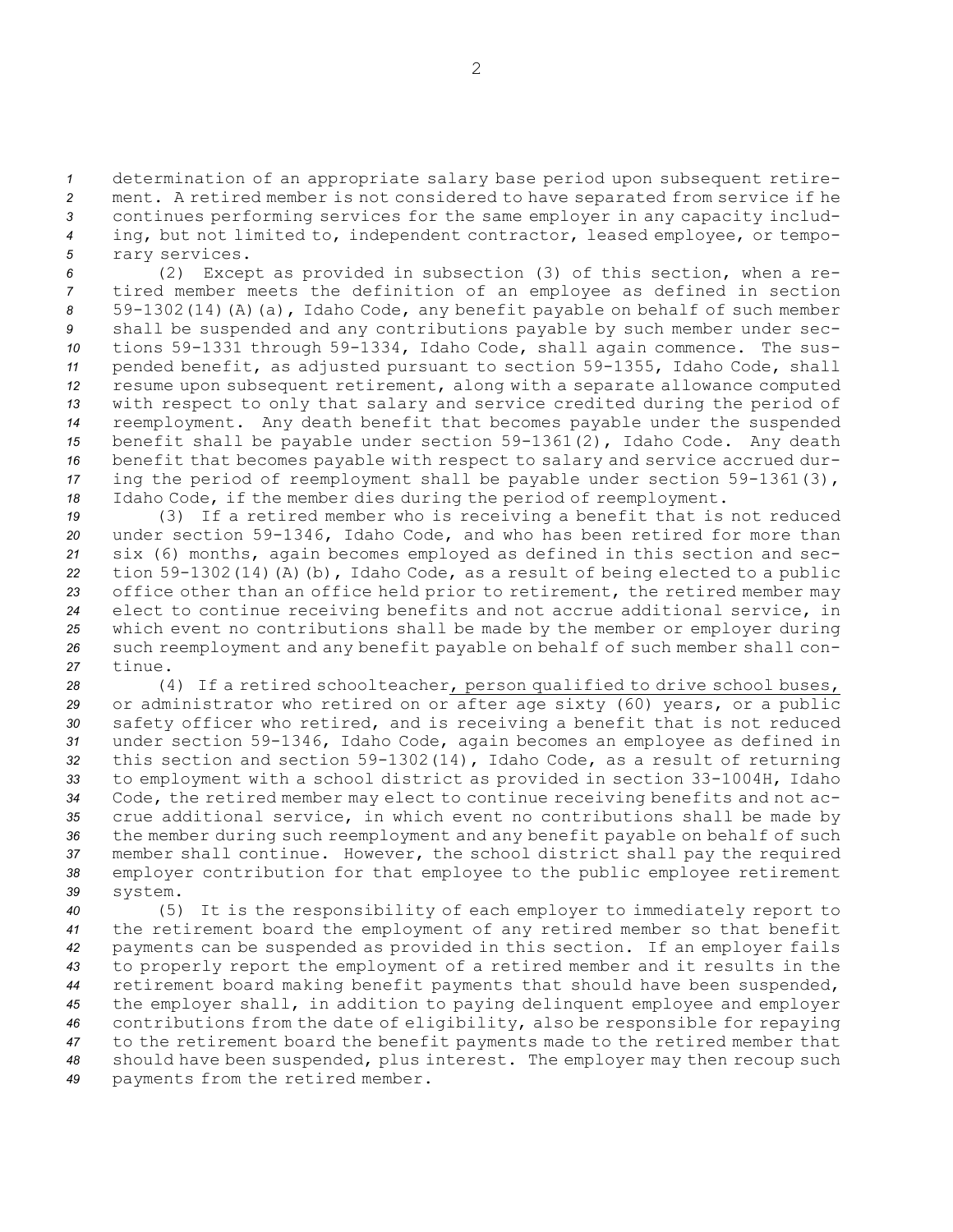determination of an appropriate salary base period upon subsequent retire- ment. <sup>A</sup> retired member is not considered to have separated from service if he continues performing services for the same employer in any capacity includ- ing, but not limited to, independent contractor, leased employee, or tempo-rary services.

 (2) Except as provided in subsection (3) of this section, when <sup>a</sup> re- tired member meets the definition of an employee as defined in section 59-1302(14)(A)(a), Idaho Code, any benefit payable on behalf of such member shall be suspended and any contributions payable by such member under sec- tions 59-1331 through 59-1334, Idaho Code, shall again commence. The sus- pended benefit, as adjusted pursuant to section 59-1355, Idaho Code, shall resume upon subsequent retirement, along with <sup>a</sup> separate allowance computed with respect to only that salary and service credited during the period of reemployment. Any death benefit that becomes payable under the suspended benefit shall be payable under section 59-1361(2), Idaho Code. Any death benefit that becomes payable with respect to salary and service accrued dur- ing the period of reemployment shall be payable under section 59-1361(3), Idaho Code, if the member dies during the period of reemployment.

 (3) If <sup>a</sup> retired member who is receiving <sup>a</sup> benefit that is not reduced under section 59-1346, Idaho Code, and who has been retired for more than six (6) months, again becomes employed as defined in this section and sec- tion 59-1302(14)(A)(b), Idaho Code, as <sup>a</sup> result of being elected to <sup>a</sup> public office other than an office held prior to retirement, the retired member may elect to continue receiving benefits and not accrue additional service, in which event no contributions shall be made by the member or employer during such reemployment and any benefit payable on behalf of such member shall con-*27* tinue.

 (4) If <sup>a</sup> retired schoolteacher, person qualified to drive school buses, or administrator who retired on or after age sixty (60) years, or <sup>a</sup> public safety officer who retired, and is receiving <sup>a</sup> benefit that is not reduced under section 59-1346, Idaho Code, again becomes an employee as defined in this section and section 59-1302(14), Idaho Code, as <sup>a</sup> result of returning to employment with <sup>a</sup> school district as provided in section 33-1004H, Idaho Code, the retired member may elect to continue receiving benefits and not ac- crue additional service, in which event no contributions shall be made by the member during such reemployment and any benefit payable on behalf of such member shall continue. However, the school district shall pay the required employer contribution for that employee to the public employee retirement *39* system.

 (5) It is the responsibility of each employer to immediately report to the retirement board the employment of any retired member so that benefit payments can be suspended as provided in this section. If an employer fails to properly report the employment of <sup>a</sup> retired member and it results in the retirement board making benefit payments that should have been suspended, the employer shall, in addition to paying delinquent employee and employer contributions from the date of eligibility, also be responsible for repaying to the retirement board the benefit payments made to the retired member that should have been suspended, plus interest. The employer may then recoup such payments from the retired member.